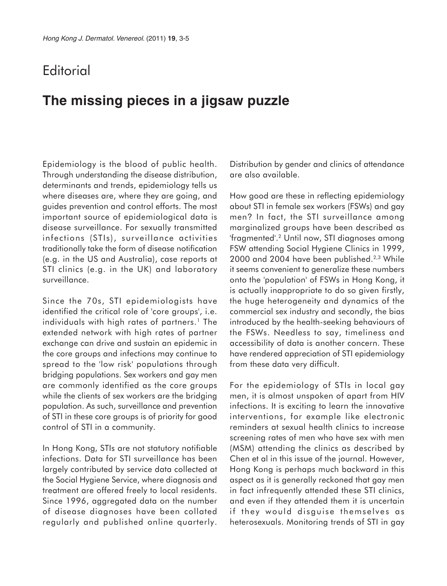## **Editorial**

# **The missing pieces in a jigsaw puzzle**

Epidemiology is the blood of public health. Through understanding the disease distribution, determinants and trends, epidemiology tells us where diseases are, where they are going, and guides prevention and control efforts. The most important source of epidemiological data is disease surveillance. For sexually transmitted infections (STIs), surveillance activities traditionally take the form of disease notification (e.g. in the US and Australia), case reports at STI clinics (e.g. in the UK) and laboratory surveillance.

Since the 70s, STI epidemiologists have identified the critical role of 'core groups', i.e. individuals with high rates of partners.<sup>1</sup> The extended network with high rates of partner exchange can drive and sustain an epidemic in the core groups and infections may continue to spread to the 'low risk' populations through bridging populations. Sex workers and gay men are commonly identified as the core groups while the clients of sex workers are the bridging population. As such, surveillance and prevention of STI in these core groups is of priority for good control of STI in a community.

In Hong Kong, STIs are not statutory notifiable infections. Data for STI surveillance has been largely contributed by service data collected at the Social Hygiene Service, where diagnosis and treatment are offered freely to local residents. Since 1996, aggregated data on the number of disease diagnoses have been collated regularly and published online quarterly. Distribution by gender and clinics of attendance are also available.

How good are these in reflecting epidemiology about STI in female sex workers (FSWs) and gay men? In fact, the STI surveillance among marginalized groups have been described as 'fragmented'.2 Until now, STI diagnoses among FSW attending Social Hygiene Clinics in 1999, 2000 and 2004 have been published.<sup>2,3</sup> While it seems convenient to generalize these numbers onto the 'population' of FSWs in Hong Kong, it is actually inappropriate to do so given firstly, the huge heterogeneity and dynamics of the commercial sex industry and secondly, the bias introduced by the health-seeking behaviours of the FSWs. Needless to say, timeliness and accessibility of data is another concern. These have rendered appreciation of STI epidemiology from these data very difficult.

For the epidemiology of STIs in local gay men, it is almost unspoken of apart from HIV infections. It is exciting to learn the innovative interventions, for example like electronic reminders at sexual health clinics to increase screening rates of men who have sex with men (MSM) attending the clinics as described by Chen et al in this issue of the journal. However, Hong Kong is perhaps much backward in this aspect as it is generally reckoned that gay men in fact infrequently attended these STI clinics, and even if they attended them it is uncertain if they would disguise themselves as heterosexuals. Monitoring trends of STI in gay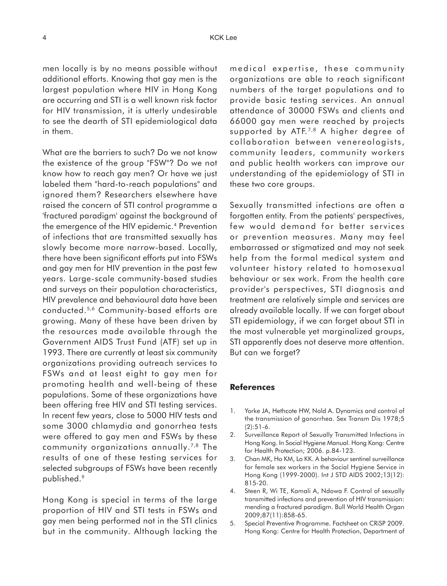men locally is by no means possible without additional efforts. Knowing that gay men is the largest population where HIV in Hong Kong are occurring and STI is a well known risk factor for HIV transmission, it is utterly undesirable to see the dearth of STI epidemiological data in them.

What are the barriers to such? Do we not know the existence of the group "FSW"? Do we not know how to reach gay men? Or have we just labeled them "hard-to-reach populations" and ignored them? Researchers elsewhere have raised the concern of STI control programme a 'fractured paradigm' against the background of the emergence of the HIV epidemic.4 Prevention of infections that are transmitted sexually has slowly become more narrow-based. Locally, there have been significant efforts put into FSWs and gay men for HIV prevention in the past few years. Large-scale community-based studies and surveys on their population characteristics, HIV prevalence and behavioural data have been conducted.5,6 Community-based efforts are growing. Many of these have been driven by the resources made available through the Government AIDS Trust Fund (ATF) set up in 1993. There are currently at least six community organizations providing outreach services to FSWs and at least eight to gay men for promoting health and well-being of these populations. Some of these organizations have been offering free HIV and STI testing services. In recent few years, close to 5000 HIV tests and some 3000 chlamydia and gonorrhea tests were offered to gay men and FSWs by these community organizations annually.7,8 The results of one of these testing services for selected subgroups of FSWs have been recently published.9

Hong Kong is special in terms of the large proportion of HIV and STI tests in FSWs and gay men being performed not in the STI clinics but in the community. Although lacking the medical expertise, these community organizations are able to reach significant numbers of the target populations and to provide basic testing services. An annual attendance of 30000 FSWs and clients and 66000 gay men were reached by projects supported by ATF.<sup> $7,8$ </sup> A higher degree of collaboration between venereologists, community leaders, community workers and public health workers can improve our understanding of the epidemiology of STI in these two core groups.

Sexually transmitted infections are often a forgotten entity. From the patients' perspectives, few would demand for better services or prevention measures. Many may feel embarrassed or stigmatized and may not seek help from the formal medical system and volunteer history related to homosexual behaviour or sex work. From the health care provider's perspectives, STI diagnosis and treatment are relatively simple and services are already available locally. If we can forget about STI epidemiology, if we can forget about STI in the most vulnerable yet marginalized groups, STI apparently does not deserve more attention. But can we forget?

#### **References**

- 1. Yorke JA, Hethcote HW, Nold A. Dynamics and control of the transmission of gonorrhea. Sex Transm Dis 1978;5 (2):51-6.
- 2. Surveillance Report of Sexually Transmitted Infections in Hong Kong. In Social Hygiene Manual. Hong Kong: Centre for Health Protection; 2006. p.84-123.
- 3. Chan MK, Ho KM, Lo KK. A behaviour sentinel surveillance for female sex workers in the Social Hygiene Service in Hong Kong (1999-2000). Int J STD AIDS 2002;13(12): 815-20.
- 4. Steen R, Wi TE, Kamali A, Ndowa F. Control of sexually transmitted infections and prevention of HIV transmission: mending a fractured paradigm. Bull World Health Organ 2009;87(11):858-65.
- 5. Special Preventive Programme. Factsheet on CRiSP 2009. Hong Kong: Centre for Health Protection, Department of